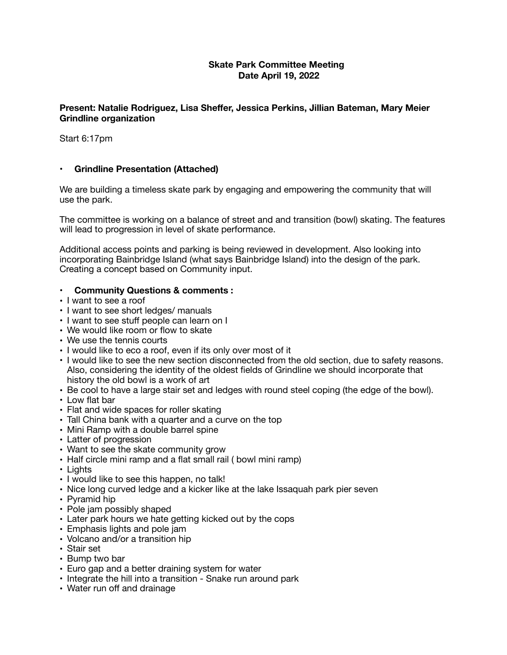## **Skate Park Committee Meeting Date April 19, 2022**

## **Present: Natalie Rodriguez, Lisa Sheffer, Jessica Perkins, Jillian Bateman, Mary Meier Grindline organization**

Start 6:17pm

## **• Grindline Presentation (Attached)**

We are building a timeless skate park by engaging and empowering the community that will use the park.

The committee is working on a balance of street and and transition (bowl) skating. The features will lead to progression in level of skate performance.

Additional access points and parking is being reviewed in development. Also looking into incorporating Bainbridge Island (what says Bainbridge Island) into the design of the park. Creating a concept based on Community input.

## **• Community Questions & comments :**

- **•** I want to see a roof
- I want to see short ledges/ manuals
- I want to see stuff people can learn on I
- **•** We would like room or flow to skate
- **•** We use the tennis courts
- **•** I would like to eco a roof, even if its only over most of it
- **•** I would like to see the new section disconnected from the old section, due to safety reasons. Also, considering the identity of the oldest fields of Grindline we should incorporate that history the old bowl is a work of art
- **•** Be cool to have a large stair set and ledges with round steel coping (the edge of the bowl).
- **•** Low flat bar
- **•** Flat and wide spaces for roller skating
- **•** Tall China bank with a quarter and a curve on the top
- **•** Mini Ramp with a double barrel spine
- **•** Latter of progression
- **•** Want to see the skate community grow
- **•** Half circle mini ramp and a flat small rail ( bowl mini ramp)
- **•** Lights
- **•** I would like to see this happen, no talk!
- **•** Nice long curved ledge and a kicker like at the lake Issaquah park pier seven
- **•** Pyramid hip
- **•** Pole jam possibly shaped
- **•** Later park hours we hate getting kicked out by the cops
- **•** Emphasis lights and pole jam
- **•** Volcano and/or a transition hip
- **•** Stair set
- **•** Bump two bar
- **•** Euro gap and a better draining system for water
- **•** Integrate the hill into a transition Snake run around park
- **•** Water run off and drainage